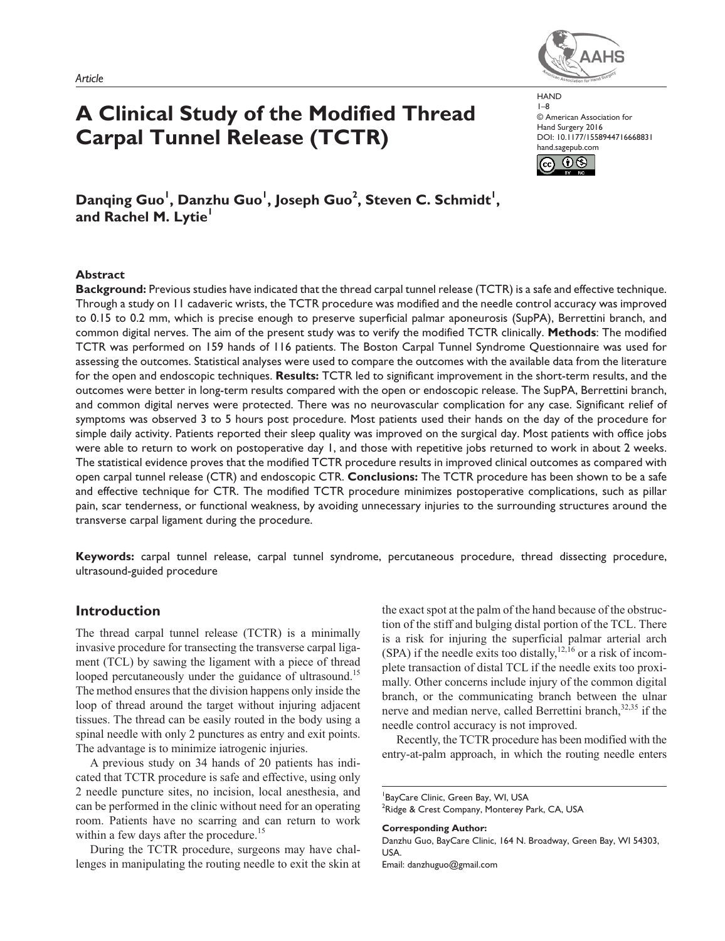*Article*

# **A Clinical Study of the Modified Thread Carpal Tunnel Release (TCTR)**

**HAND** 1–8 © American Association for Hand Surgery 2016 DOI: 10.1177/1558944716668831 hand.sagepub.com



Danqing Guo<sup>1</sup>, Danzhu Guo<sup>1</sup>, Joseph Guo<sup>2</sup>, Steven C. Schmidt<sup>1</sup>, **and Rachel M. Lytie<sup>1</sup>**

## **Abstract**

**Background:** Previous studies have indicated that the thread carpal tunnel release (TCTR) is a safe and effective technique. Through a study on 11 cadaveric wrists, the TCTR procedure was modified and the needle control accuracy was improved to 0.15 to 0.2 mm, which is precise enough to preserve superficial palmar aponeurosis (SupPA), Berrettini branch, and common digital nerves. The aim of the present study was to verify the modified TCTR clinically. **Methods**: The modified TCTR was performed on 159 hands of 116 patients. The Boston Carpal Tunnel Syndrome Questionnaire was used for assessing the outcomes. Statistical analyses were used to compare the outcomes with the available data from the literature for the open and endoscopic techniques. **Results:** TCTR led to significant improvement in the short-term results, and the outcomes were better in long-term results compared with the open or endoscopic release. The SupPA, Berrettini branch, and common digital nerves were protected. There was no neurovascular complication for any case. Significant relief of symptoms was observed 3 to 5 hours post procedure. Most patients used their hands on the day of the procedure for simple daily activity. Patients reported their sleep quality was improved on the surgical day. Most patients with office jobs were able to return to work on postoperative day 1, and those with repetitive jobs returned to work in about 2 weeks. The statistical evidence proves that the modified TCTR procedure results in improved clinical outcomes as compared with open carpal tunnel release (CTR) and endoscopic CTR. **Conclusions:** The TCTR procedure has been shown to be a safe and effective technique for CTR. The modified TCTR procedure minimizes postoperative complications, such as pillar pain, scar tenderness, or functional weakness, by avoiding unnecessary injuries to the surrounding structures around the transverse carpal ligament during the procedure.

**Keywords:** carpal tunnel release, carpal tunnel syndrome, percutaneous procedure, thread dissecting procedure, ultrasound-guided procedure

# **Introduction**

The thread carpal tunnel release (TCTR) is a minimally invasive procedure for transecting the transverse carpal ligament (TCL) by sawing the ligament with a piece of thread looped percutaneously under the guidance of ultrasound.<sup>15</sup> The method ensures that the division happens only inside the loop of thread around the target without injuring adjacent tissues. The thread can be easily routed in the body using a spinal needle with only 2 punctures as entry and exit points. The advantage is to minimize iatrogenic injuries.

A previous study on 34 hands of 20 patients has indicated that TCTR procedure is safe and effective, using only 2 needle puncture sites, no incision, local anesthesia, and can be performed in the clinic without need for an operating room. Patients have no scarring and can return to work within a few days after the procedure.<sup>15</sup>

During the TCTR procedure, surgeons may have challenges in manipulating the routing needle to exit the skin at the exact spot at the palm of the hand because of the obstruction of the stiff and bulging distal portion of the TCL. There is a risk for injuring the superficial palmar arterial arch (SPA) if the needle exits too distally,<sup>12,16</sup> or a risk of incomplete transaction of distal TCL if the needle exits too proximally. Other concerns include injury of the common digital branch, or the communicating branch between the ulnar nerve and median nerve, called Berrettini branch, 32,35 if the needle control accuracy is not improved.

Recently, the TCTR procedure has been modified with the entry-at-palm approach, in which the routing needle enters

**Corresponding Author:**



<sup>1</sup> BayCare Clinic, Green Bay, WI, USA  $^{2}$ Ridge & Crest Company, Monterey Park, CA, USA

Danzhu Guo, BayCare Clinic, 164 N. Broadway, Green Bay, WI 54303, **USA** Email: [danzhuguo@gmail.com](mailto:danzhuguo@gmail.com)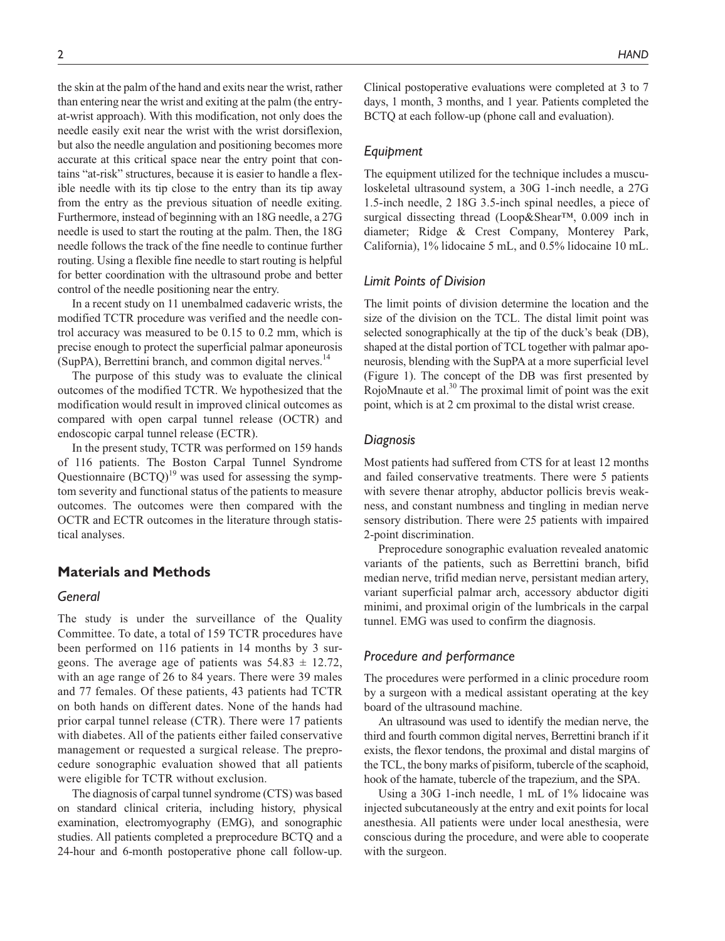the skin at the palm of the hand and exits near the wrist, rather than entering near the wrist and exiting at the palm (the entryat-wrist approach). With this modification, not only does the needle easily exit near the wrist with the wrist dorsiflexion, but also the needle angulation and positioning becomes more accurate at this critical space near the entry point that contains "at-risk" structures, because it is easier to handle a flexible needle with its tip close to the entry than its tip away from the entry as the previous situation of needle exiting. Furthermore, instead of beginning with an 18G needle, a 27G needle is used to start the routing at the palm. Then, the 18G needle follows the track of the fine needle to continue further routing. Using a flexible fine needle to start routing is helpful for better coordination with the ultrasound probe and better control of the needle positioning near the entry.

In a recent study on 11 unembalmed cadaveric wrists, the modified TCTR procedure was verified and the needle control accuracy was measured to be 0.15 to 0.2 mm, which is precise enough to protect the superficial palmar aponeurosis (SupPA), Berrettini branch, and common digital nerves.<sup>14</sup>

The purpose of this study was to evaluate the clinical outcomes of the modified TCTR. We hypothesized that the modification would result in improved clinical outcomes as compared with open carpal tunnel release (OCTR) and endoscopic carpal tunnel release (ECTR).

In the present study, TCTR was performed on 159 hands of 116 patients. The Boston Carpal Tunnel Syndrome Questionnaire  $(BCTQ)^{19}$  was used for assessing the symptom severity and functional status of the patients to measure outcomes. The outcomes were then compared with the OCTR and ECTR outcomes in the literature through statistical analyses.

# **Materials and Methods**

# *General*

The study is under the surveillance of the Quality Committee. To date, a total of 159 TCTR procedures have been performed on 116 patients in 14 months by 3 surgeons. The average age of patients was  $54.83 \pm 12.72$ , with an age range of 26 to 84 years. There were 39 males and 77 females. Of these patients, 43 patients had TCTR on both hands on different dates. None of the hands had prior carpal tunnel release (CTR). There were 17 patients with diabetes. All of the patients either failed conservative management or requested a surgical release. The preprocedure sonographic evaluation showed that all patients were eligible for TCTR without exclusion.

The diagnosis of carpal tunnel syndrome (CTS) was based on standard clinical criteria, including history, physical examination, electromyography (EMG), and sonographic studies. All patients completed a preprocedure BCTQ and a 24-hour and 6-month postoperative phone call follow-up. Clinical postoperative evaluations were completed at 3 to 7 days, 1 month, 3 months, and 1 year. Patients completed the BCTQ at each follow-up (phone call and evaluation).

## *Equipment*

The equipment utilized for the technique includes a musculoskeletal ultrasound system, a 30G 1-inch needle, a 27G 1.5-inch needle, 2 18G 3.5-inch spinal needles, a piece of surgical dissecting thread (Loop&Shear™, 0.009 inch in diameter; Ridge & Crest Company, Monterey Park, California), 1% lidocaine 5 mL, and 0.5% lidocaine 10 mL.

## *Limit Points of Division*

The limit points of division determine the location and the size of the division on the TCL. The distal limit point was selected sonographically at the tip of the duck's beak (DB), shaped at the distal portion of TCL together with palmar aponeurosis, blending with the SupPA at a more superficial level (Figure 1). The concept of the DB was first presented by RojoMnaute et al.<sup>30</sup> The proximal limit of point was the exit point, which is at 2 cm proximal to the distal wrist crease.

# *Diagnosis*

Most patients had suffered from CTS for at least 12 months and failed conservative treatments. There were 5 patients with severe thenar atrophy, abductor pollicis brevis weakness, and constant numbness and tingling in median nerve sensory distribution. There were 25 patients with impaired 2-point discrimination.

Preprocedure sonographic evaluation revealed anatomic variants of the patients, such as Berrettini branch, bifid median nerve, trifid median nerve, persistant median artery, variant superficial palmar arch, accessory abductor digiti minimi, and proximal origin of the lumbricals in the carpal tunnel. EMG was used to confirm the diagnosis.

# *Procedure and performance*

The procedures were performed in a clinic procedure room by a surgeon with a medical assistant operating at the key board of the ultrasound machine.

An ultrasound was used to identify the median nerve, the third and fourth common digital nerves, Berrettini branch if it exists, the flexor tendons, the proximal and distal margins of the TCL, the bony marks of pisiform, tubercle of the scaphoid, hook of the hamate, tubercle of the trapezium, and the SPA.

Using a 30G 1-inch needle, 1 mL of 1% lidocaine was injected subcutaneously at the entry and exit points for local anesthesia. All patients were under local anesthesia, were conscious during the procedure, and were able to cooperate with the surgeon.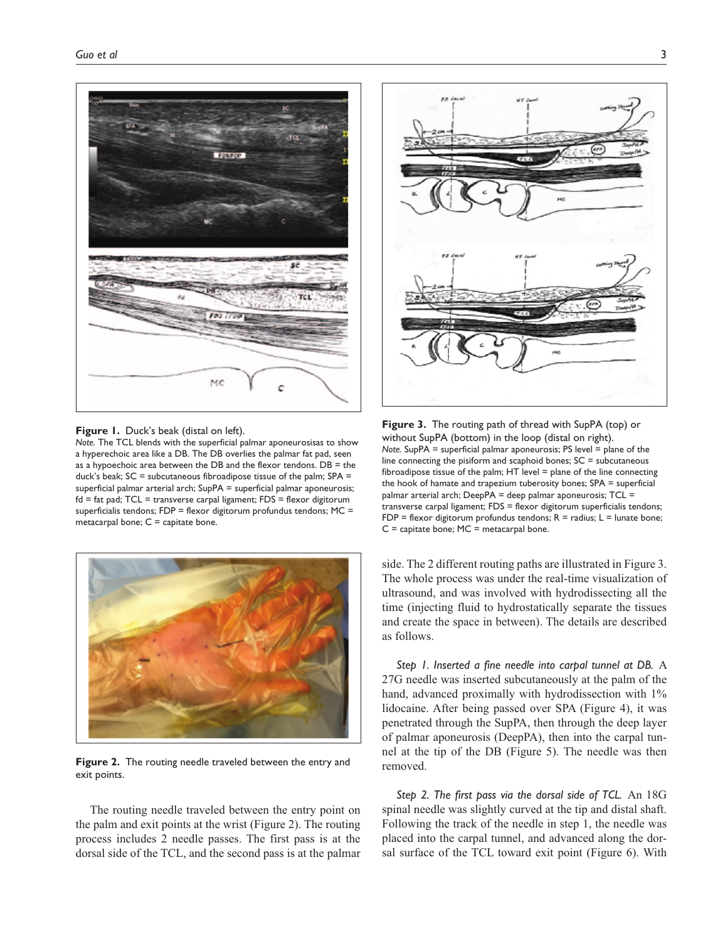

**Figure 1.** Duck's beak (distal on left).

*Note.* The TCL blends with the superficial palmar aponeurosisas to show a hyperechoic area like a DB. The DB overlies the palmar fat pad, seen as a hypoechoic area between the DB and the flexor tendons. DB = the duck's beak;  $SC =$  subcutaneous fibroadipose tissue of the palm;  $SPA =$ superficial palmar arterial arch; SupPA = superficial palmar aponeurosis; fd = fat pad; TCL = transverse carpal ligament; FDS = flexor digitorum superficialis tendons; FDP = flexor digitorum profundus tendons; MC = metacarpal bone;  $C =$  capitate bone.



**Figure 2.** The routing needle traveled between the entry and exit points.

The routing needle traveled between the entry point on the palm and exit points at the wrist (Figure 2). The routing process includes 2 needle passes. The first pass is at the dorsal side of the TCL, and the second pass is at the palmar



**Figure 3.** The routing path of thread with SupPA (top) or without SupPA (bottom) in the loop (distal on right). *Note.* SupPA = superficial palmar aponeurosis; PS level = plane of the line connecting the pisiform and scaphoid bones;  $SC =$  subcutaneous fibroadipose tissue of the palm; HT level = plane of the line connecting the hook of hamate and trapezium tuberosity bones; SPA = superficial palmar arterial arch; DeepPA = deep palmar aponeurosis; TCL = transverse carpal ligament; FDS = flexor digitorum superficialis tendons; FDP = flexor digitorum profundus tendons;  $R =$  radius;  $L =$  lunate bone;  $C =$  capitate bone;  $MC =$  metacarpal bone.

side. The 2 different routing paths are illustrated in Figure 3. The whole process was under the real-time visualization of ultrasound, and was involved with hydrodissecting all the time (injecting fluid to hydrostatically separate the tissues and create the space in between). The details are described as follows.

*Step 1. Inserted a fine needle into carpal tunnel at DB.* A 27G needle was inserted subcutaneously at the palm of the hand, advanced proximally with hydrodissection with  $1\%$ lidocaine. After being passed over SPA (Figure 4), it was penetrated through the SupPA, then through the deep layer of palmar aponeurosis (DeepPA), then into the carpal tunnel at the tip of the DB (Figure 5). The needle was then removed.

*Step 2. The first pass via the dorsal side of TCL.* An 18G spinal needle was slightly curved at the tip and distal shaft. Following the track of the needle in step 1, the needle was placed into the carpal tunnel, and advanced along the dorsal surface of the TCL toward exit point (Figure 6). With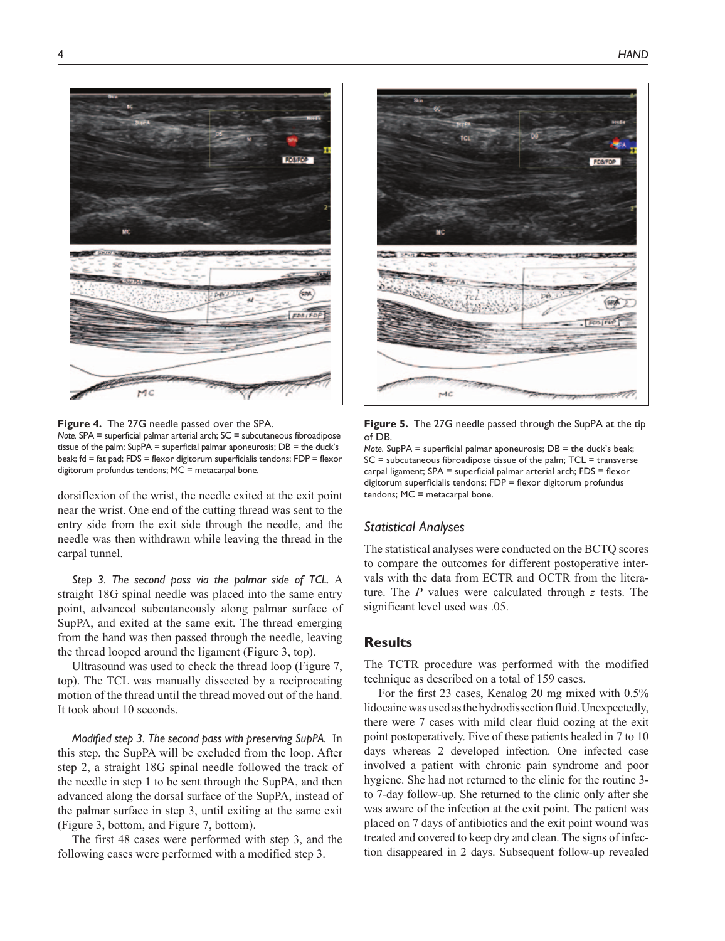

**Figure 4.** The 27G needle passed over the SPA. *Note.* SPA = superficial palmar arterial arch; SC = subcutaneous fibroadipose

tissue of the palm; SupPA = superficial palmar aponeurosis; DB = the duck's beak; fd = fat pad; FDS = flexor digitorum superficialis tendons; FDP = flexor digitorum profundus tendons; MC = metacarpal bone.

dorsiflexion of the wrist, the needle exited at the exit point near the wrist. One end of the cutting thread was sent to the entry side from the exit side through the needle, and the needle was then withdrawn while leaving the thread in the carpal tunnel.

*Step 3. The second pass via the palmar side of TCL.* A straight 18G spinal needle was placed into the same entry point, advanced subcutaneously along palmar surface of SupPA, and exited at the same exit. The thread emerging from the hand was then passed through the needle, leaving the thread looped around the ligament (Figure 3, top).

Ultrasound was used to check the thread loop (Figure 7, top). The TCL was manually dissected by a reciprocating motion of the thread until the thread moved out of the hand. It took about 10 seconds.

*Modified step 3. The second pass with preserving SupPA.* In this step, the SupPA will be excluded from the loop. After step 2, a straight 18G spinal needle followed the track of the needle in step 1 to be sent through the SupPA, and then advanced along the dorsal surface of the SupPA, instead of the palmar surface in step 3, until exiting at the same exit (Figure 3, bottom, and Figure 7, bottom).

The first 48 cases were performed with step 3, and the following cases were performed with a modified step 3.



**Figure 5.** The 27G needle passed through the SupPA at the tip of DB.

*Note.* SupPA = superficial palmar aponeurosis;  $DB =$  the duck's beak;  $SC = subcutaneous fibroadpose tissue of the palm; TCL = transverse$ carpal ligament; SPA = superficial palmar arterial arch; FDS = flexor digitorum superficialis tendons; FDP = flexor digitorum profundus tendons; MC = metacarpal bone.

## *Statistical Analyses*

The statistical analyses were conducted on the BCTQ scores to compare the outcomes for different postoperative intervals with the data from ECTR and OCTR from the literature. The *P* values were calculated through *z* tests. The significant level used was .05.

# **Results**

The TCTR procedure was performed with the modified technique as described on a total of 159 cases.

For the first 23 cases, Kenalog 20 mg mixed with 0.5% lidocaine was used as the hydrodissection fluid. Unexpectedly, there were 7 cases with mild clear fluid oozing at the exit point postoperatively. Five of these patients healed in 7 to 10 days whereas 2 developed infection. One infected case involved a patient with chronic pain syndrome and poor hygiene. She had not returned to the clinic for the routine 3 to 7-day follow-up. She returned to the clinic only after she was aware of the infection at the exit point. The patient was placed on 7 days of antibiotics and the exit point wound was treated and covered to keep dry and clean. The signs of infection disappeared in 2 days. Subsequent follow-up revealed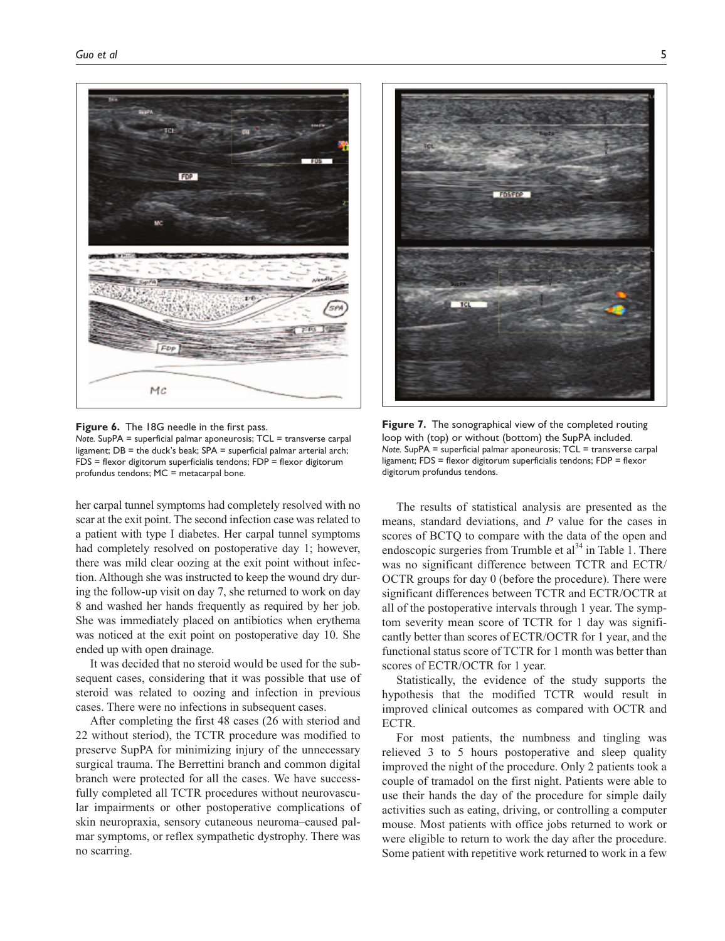

**Figure 6.** The 18G needle in the first pass. *Note.* SupPA = superficial palmar aponeurosis; TCL = transverse carpal ligament; DB = the duck's beak; SPA = superficial palmar arterial arch; FDS = flexor digitorum superficialis tendons; FDP = flexor digitorum profundus tendons; MC = metacarpal bone.

her carpal tunnel symptoms had completely resolved with no scar at the exit point. The second infection case was related to a patient with type I diabetes. Her carpal tunnel symptoms had completely resolved on postoperative day 1; however, there was mild clear oozing at the exit point without infection. Although she was instructed to keep the wound dry during the follow-up visit on day 7, she returned to work on day 8 and washed her hands frequently as required by her job. She was immediately placed on antibiotics when erythema was noticed at the exit point on postoperative day 10. She ended up with open drainage.

It was decided that no steroid would be used for the subsequent cases, considering that it was possible that use of steroid was related to oozing and infection in previous cases. There were no infections in subsequent cases.

After completing the first 48 cases (26 with steriod and 22 without steriod), the TCTR procedure was modified to preserve SupPA for minimizing injury of the unnecessary surgical trauma. The Berrettini branch and common digital branch were protected for all the cases. We have successfully completed all TCTR procedures without neurovascular impairments or other postoperative complications of skin neuropraxia, sensory cutaneous neuroma–caused palmar symptoms, or reflex sympathetic dystrophy. There was no scarring.



**Figure 7.** The sonographical view of the completed routing loop with (top) or without (bottom) the SupPA included. *Note.* SupPA = superficial palmar aponeurosis; TCL = transverse carpal ligament; FDS = flexor digitorum superficialis tendons; FDP = flexor digitorum profundus tendons.

The results of statistical analysis are presented as the means, standard deviations, and *P* value for the cases in scores of BCTQ to compare with the data of the open and endoscopic surgeries from Trumble et  $al<sup>34</sup>$  in Table 1. There was no significant difference between TCTR and ECTR/ OCTR groups for day 0 (before the procedure). There were significant differences between TCTR and ECTR/OCTR at all of the postoperative intervals through 1 year. The symptom severity mean score of TCTR for 1 day was significantly better than scores of ECTR/OCTR for 1 year, and the functional status score of TCTR for 1 month was better than scores of ECTR/OCTR for 1 year.

Statistically, the evidence of the study supports the hypothesis that the modified TCTR would result in improved clinical outcomes as compared with OCTR and ECTR.

For most patients, the numbness and tingling was relieved 3 to 5 hours postoperative and sleep quality improved the night of the procedure. Only 2 patients took a couple of tramadol on the first night. Patients were able to use their hands the day of the procedure for simple daily activities such as eating, driving, or controlling a computer mouse. Most patients with office jobs returned to work or were eligible to return to work the day after the procedure. Some patient with repetitive work returned to work in a few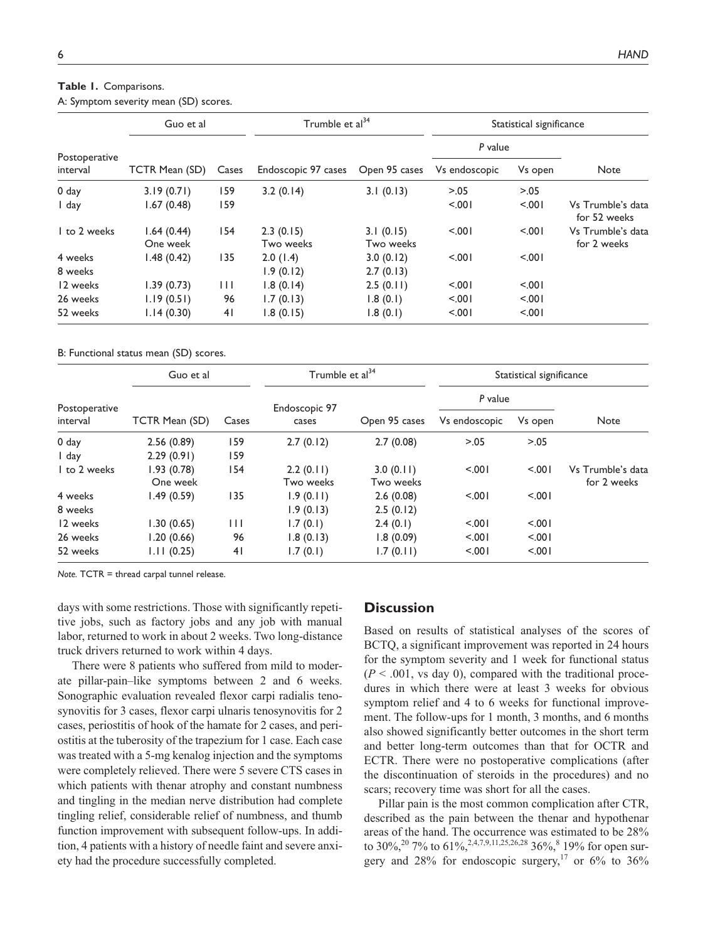| Table 1. Comparisons.                 |  |
|---------------------------------------|--|
| A: Symptom severity mean (SD) scores. |  |

| Postoperative<br>interval | Guo et al              |       | Trumble et al <sup>34</sup> |                        | Statistical significance |         |                                   |
|---------------------------|------------------------|-------|-----------------------------|------------------------|--------------------------|---------|-----------------------------------|
|                           | TCTR Mean (SD)         | Cases | Endoscopic 97 cases         | Open 95 cases          | P value                  |         |                                   |
|                           |                        |       |                             |                        | Vs endoscopic            | Vs open | <b>Note</b>                       |
| 0 <sub>day</sub>          | 3.19(0.71)             | 159   | 3.2(0.14)                   | 3.1(0.13)              | > 0.05                   | > 0.05  |                                   |
| I day                     | 1.67(0.48)             | 159   |                             |                        | 5.001                    | 5.001   | Vs Trumble's data<br>for 52 weeks |
| I to 2 weeks              | 1.64(0.44)<br>One week | 154   | 2.3(0.15)<br>Two weeks      | 3.1(0.15)<br>Two weeks | < 0.001                  | 5.001   | Vs Trumble's data<br>for 2 weeks  |
| 4 weeks                   | 1.48(0.42)             | 135   | 2.0(1.4)                    | 3.0(0.12)              | < 0.01                   | < 0.01  |                                   |
| 8 weeks                   |                        |       | 1.9(0.12)                   | 2.7(0.13)              |                          |         |                                   |
| 12 weeks                  | 1.39(0.73)             | Ш     | 1.8(0.14)                   | 2.5(0.11)              | 5.001                    | 5.001   |                                   |
| 26 weeks                  | 1.19(0.51)             | 96    | 1.7(0.13)                   | 1.8(0.1)               | 5.001                    | 5.001   |                                   |
| 52 weeks                  | 1.14(0.30)             | 41    | 1.8(0.15)                   | 1.8(0.1)               | 5.001                    | 5.001   |                                   |

B: Functional status mean (SD) scores.

| Postoperative<br>interval | Guo et al      |       | Trumble et al <sup>34</sup> |               | Statistical significance |         |                   |
|---------------------------|----------------|-------|-----------------------------|---------------|--------------------------|---------|-------------------|
|                           | TCTR Mean (SD) | Cases | Endoscopic 97<br>cases      | Open 95 cases | P value                  |         |                   |
|                           |                |       |                             |               | Vs endoscopic            | Vs open | Note              |
| 0 day                     | 2.56(0.89)     | 159   | 2.7(0.12)                   | 2.7(0.08)     | > 0.05                   | > 0.05  |                   |
| I day                     | 2.29(0.91)     | 159   |                             |               |                          |         |                   |
| I to 2 weeks              | 1.93(0.78)     | 154   | 2.2(0.11)                   | 3.0(0.11)     | 5.001                    | < 0.001 | Vs Trumble's data |
|                           | One week       |       | Two weeks                   | Two weeks     |                          |         | for 2 weeks       |
| 4 weeks                   | 1.49(0.59)     | 135   | 1.9(0.11)                   | 2.6(0.08)     | 5.001                    | < 0.001 |                   |
| 8 weeks                   |                |       | 1.9(0.13)                   | 2.5(0.12)     |                          |         |                   |
| 12 weeks                  | 1.30(0.65)     | Ш     | 1.7(0.1)                    | 2.4(0.1)      | < 0.001                  | < 0.001 |                   |
| 26 weeks                  | 1.20(0.66)     | 96    | 1.8(0.13)                   | 1.8(0.09)     | < 0.001                  | < 0.001 |                   |
| 52 weeks                  | 1.11(0.25)     | 41    | 1.7(0.1)                    | 1.7(0.11)     | < 0.001                  | 5.001   |                   |

*Note.* TCTR = thread carpal tunnel release.

days with some restrictions. Those with significantly repetitive jobs, such as factory jobs and any job with manual labor, returned to work in about 2 weeks. Two long-distance truck drivers returned to work within 4 days.

There were 8 patients who suffered from mild to moderate pillar-pain–like symptoms between 2 and 6 weeks. Sonographic evaluation revealed flexor carpi radialis tenosynovitis for 3 cases, flexor carpi ulnaris tenosynovitis for 2 cases, periostitis of hook of the hamate for 2 cases, and periostitis at the tuberosity of the trapezium for 1 case. Each case was treated with a 5-mg kenalog injection and the symptoms were completely relieved. There were 5 severe CTS cases in which patients with thenar atrophy and constant numbness and tingling in the median nerve distribution had complete tingling relief, considerable relief of numbness, and thumb function improvement with subsequent follow-ups. In addition, 4 patients with a history of needle faint and severe anxiety had the procedure successfully completed.

# **Discussion**

Based on results of statistical analyses of the scores of BCTQ, a significant improvement was reported in 24 hours for the symptom severity and 1 week for functional status  $(P < .001$ , vs day 0), compared with the traditional procedures in which there were at least 3 weeks for obvious symptom relief and 4 to 6 weeks for functional improvement. The follow-ups for 1 month, 3 months, and 6 months also showed significantly better outcomes in the short term and better long-term outcomes than that for OCTR and ECTR. There were no postoperative complications (after the discontinuation of steroids in the procedures) and no scars; recovery time was short for all the cases.

Pillar pain is the most common complication after CTR, described as the pain between the thenar and hypothenar areas of the hand. The occurrence was estimated to be 28% to 30%,<sup>20</sup> 7% to 61%,<sup>2,4,7,9,11,25,26,28</sup> 36%,<sup>8</sup> 19% for open surgery and 28% for endoscopic surgery,<sup>17</sup> or 6% to 36%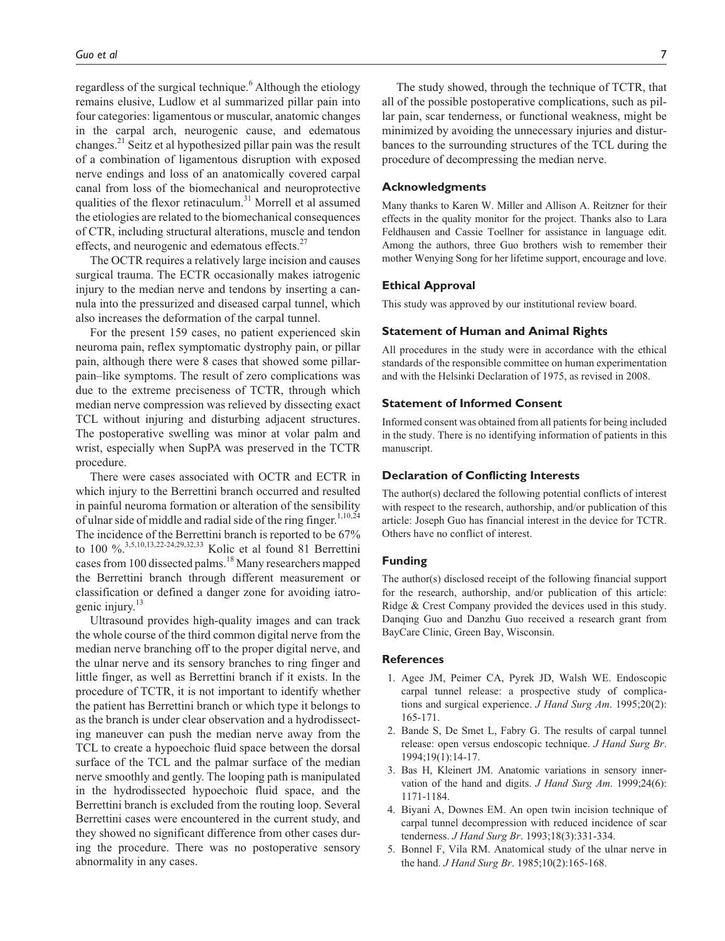regardless of the surgical technique.<sup>6</sup> Although the etiology remains elusive, Ludlow et al summarized pillar pain into four categories: ligamentous or muscular, anatomic changes in the carpal arch, neurogenic cause, and edematous changes.<sup>21</sup> Seitz et al hypothesized pillar pain was the result of a combination of ligamentous disruption with exposed nerve endings and loss of an anatomically covered carpal canal from loss of the biomechanical and neuroprotective qualities of the flexor retinaculum.<sup>31</sup> Morrell et al assumed the etiologies are related to the biomechanical consequences of CTR, including structural alterations, muscle and tendon effects, and neurogenic and edematous effects. $27$ 

The OCTR requires a relatively large incision and causes surgical trauma. The ECTR occasionally makes iatrogenic injury to the median nerve and tendons by inserting a cannula into the pressurized and diseased carpal tunnel, which also increases the deformation of the carpal tunnel.

For the present 159 cases, no patient experienced skin neuroma pain, reflex symptomatic dystrophy pain, or pillar pain, although there were 8 cases that showed some pillarpain–like symptoms. The result of zero complications was due to the extreme preciseness of TCTR, through which median nerve compression was relieved by dissecting exact TCL without injuring and disturbing adjacent structures. The postoperative swelling was minor at volar palm and wrist, especially when SupPA was preserved in the TCTR procedure.

There were cases associated with OCTR and ECTR in which injury to the Berrettini branch occurred and resulted in painful neuroma formation or alteration of the sensibility of ulnar side of middle and radial side of the ring finger.<sup>1,10,24</sup> The incidence of the Berrettini branch is reported to be 67% to 100 %.3,5,10,13,22-24,29,32,33 Kolic et al found 81 Berrettini cases from 100 dissected palms.<sup>18</sup> Many researchers mapped the Berrettini branch through different measurement or classification or defined a danger zone for avoiding iatrogenic injury.<sup>13</sup>

Ultrasound provides high-quality images and can track the whole course of the third common digital nerve from the median nerve branching off to the proper digital nerve, and the ulnar nerve and its sensory branches to ring finger and little finger, as well as Berrettini branch if it exists. In the procedure of TCTR, it is not important to identify whether the patient has Berrettini branch or which type it belongs to as the branch is under clear observation and a hydrodissecting maneuver can push the median nerve away from the TCL to create a hypoechoic fluid space between the dorsal surface of the TCL and the palmar surface of the median nerve smoothly and gently. The looping path is manipulated in the hydrodissected hypoechoic fluid space, and the Berrettini branch is excluded from the routing loop. Several Berrettini cases were encountered in the current study, and they showed no significant difference from other cases during the procedure. There was no postoperative sensory abnormality in any cases.

The study showed, through the technique of TCTR, that all of the possible postoperative complications, such as pillar pain, scar tenderness, or functional weakness, might be minimized by avoiding the unnecessary injuries and disturbances to the surrounding structures of the TCL during the procedure of decompressing the median nerve.

#### **Acknowledgments**

Many thanks to Karen W. Miller and Allison A. Reitzner for their effects in the quality monitor for the project. Thanks also to Lara Feldhausen and Cassie Toellner for assistance in language edit. Among the authors, three Guo brothers wish to remember their mother Wenying Song for her lifetime support, encourage and love.

#### **Ethical Approval**

This study was approved by our institutional review board.

#### **Statement of Human and Animal Rights**

All procedures in the study were in accordance with the ethical standards of the responsible committee on human experimentation and with the Helsinki Declaration of 1975, as revised in 2008.

#### **Statement of Informed Consent**

Informed consent was obtained from all patients for being included in the study. There is no identifying information of patients in this manuscript.

#### **Declaration of Conflicting Interests**

The author(s) declared the following potential conflicts of interest with respect to the research, authorship, and/or publication of this article: Joseph Guo has financial interest in the device for TCTR. Others have no conflict of interest.

## **Funding**

The author(s) disclosed receipt of the following financial support for the research, authorship, and/or publication of this article: Ridge & Crest Company provided the devices used in this study. Danqing Guo and Danzhu Guo received a research grant from BayCare Clinic, Green Bay, Wisconsin.

## **References**

- 1. Agee JM, Peimer CA, Pyrek JD, Walsh WE. Endoscopic carpal tunnel release: a prospective study of complications and surgical experience. *J Hand Surg Am*. 1995;20(2): 165-171.
- 2. Bande S, De Smet L, Fabry G. The results of carpal tunnel release: open versus endoscopic technique. *J Hand Surg Br*. 1994;19(1):14-17.
- 3. Bas H, Kleinert JM. Anatomic variations in sensory innervation of the hand and digits. *J Hand Surg Am*. 1999;24(6): 1171-1184.
- 4. Biyani A, Downes EM. An open twin incision technique of carpal tunnel decompression with reduced incidence of scar tenderness. *J Hand Surg Br*. 1993;18(3):331-334.
- 5. Bonnel F, Vila RM. Anatomical study of the ulnar nerve in the hand. *J Hand Surg Br*. 1985;10(2):165-168.